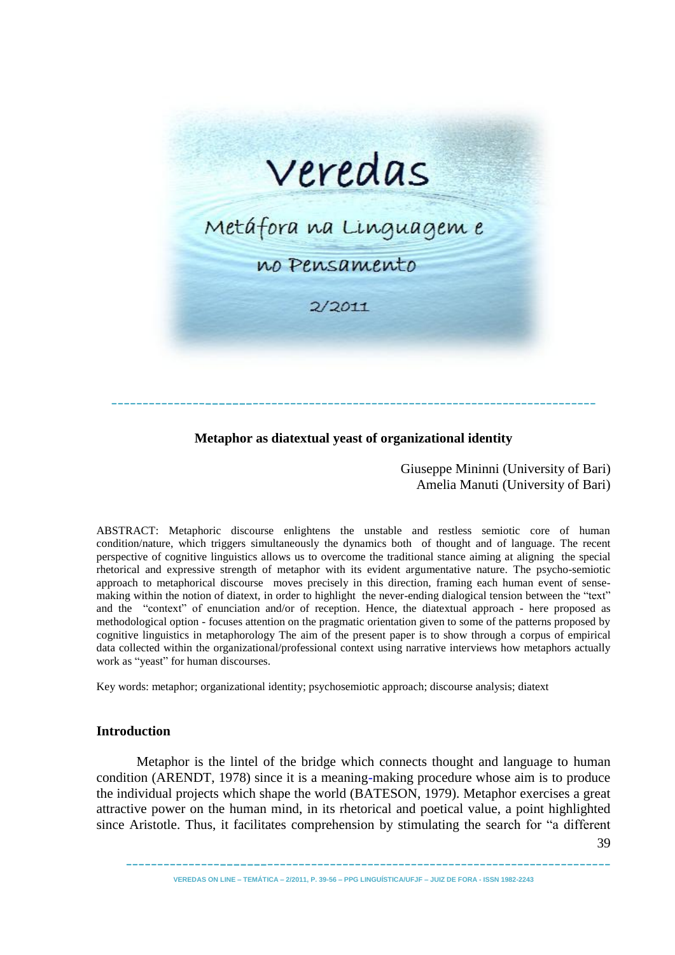

# **Metaphor as diatextual yeast of organizational identity**

Giuseppe Mininni (University of Bari) Amelia Manuti (University of Bari)

ABSTRACT: Metaphoric discourse enlightens the unstable and restless semiotic core of human condition/nature, which triggers simultaneously the dynamics both of thought and of language. The recent perspective of cognitive linguistics allows us to overcome the traditional stance aiming at aligning the special rhetorical and expressive strength of metaphor with its evident argumentative nature. The psycho-semiotic approach to metaphorical discourse moves precisely in this direction, framing each human event of sensemaking within the notion of diatext, in order to highlight the never-ending dialogical tension between the "text" and the "context" of enunciation and/or of reception. Hence, the diatextual approach - here proposed as methodological option - focuses attention on the pragmatic orientation given to some of the patterns proposed by cognitive linguistics in metaphorology The aim of the present paper is to show through a corpus of empirical data collected within the organizational/professional context using narrative interviews how metaphors actually work as "yeast" for human discourses.

Key words: metaphor; organizational identity; psychosemiotic approach; discourse analysis; diatext

## **Introduction**

Metaphor is the lintel of the bridge which connects thought and language to human condition (ARENDT, 1978) since it is a meaning-making procedure whose aim is to produce the individual projects which shape the world (BATESON, 1979). Metaphor exercises a great attractive power on the human mind, in its rhetorical and poetical value, a point highlighted since Aristotle. Thus, it facilitates comprehension by stimulating the search for "a different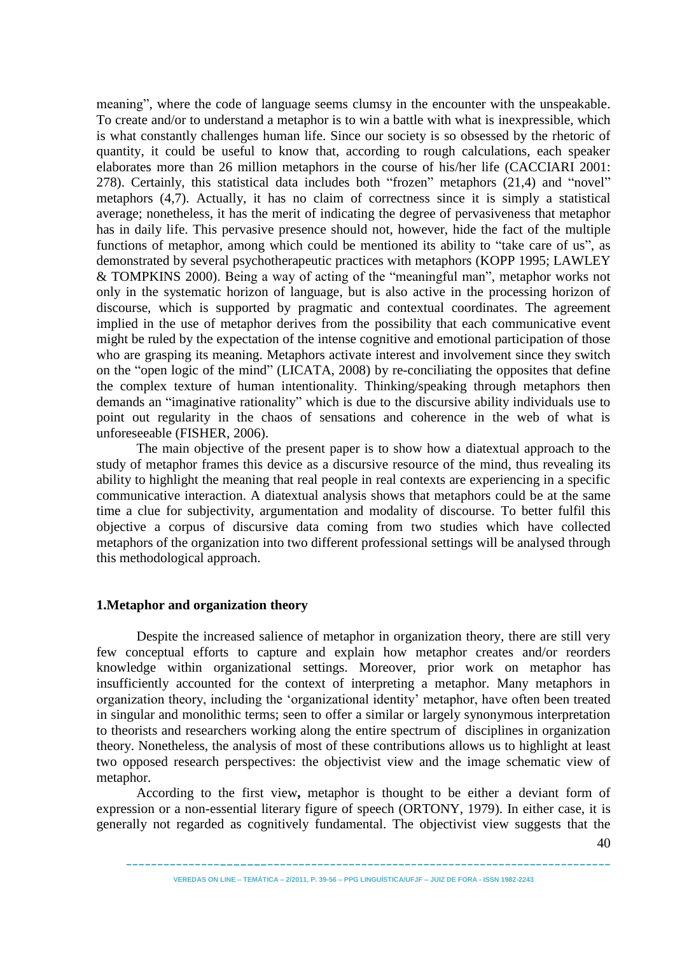meaning", where the code of language seems clumsy in the encounter with the unspeakable. To create and/or to understand a metaphor is to win a battle with what is inexpressible, which is what constantly challenges human life. Since our society is so obsessed by the rhetoric of quantity, it could be useful to know that, according to rough calculations, each speaker elaborates more than 26 million metaphors in the course of his/her life (CACCIARI 2001: 278). Certainly, this statistical data includes both "frozen" metaphors (21,4) and "novel" metaphors (4,7). Actually, it has no claim of correctness since it is simply a statistical average; nonetheless, it has the merit of indicating the degree of pervasiveness that metaphor has in daily life. This pervasive presence should not, however, hide the fact of the multiple functions of metaphor, among which could be mentioned its ability to "take care of us", as demonstrated by several psychotherapeutic practices with metaphors (KOPP 1995; LAWLEY & TOMPKINS 2000). Being a way of acting of the "meaningful man", metaphor works not only in the systematic horizon of language, but is also active in the processing horizon of discourse, which is supported by pragmatic and contextual coordinates. The agreement implied in the use of metaphor derives from the possibility that each communicative event might be ruled by the expectation of the intense cognitive and emotional participation of those who are grasping its meaning. Metaphors activate interest and involvement since they switch on the "open logic of the mind" (LICATA, 2008) by re-conciliating the opposites that define the complex texture of human intentionality. Thinking/speaking through metaphors then demands an "imaginative rationality" which is due to the discursive ability individuals use to point out regularity in the chaos of sensations and coherence in the web of what is unforeseeable (FISHER, 2006).

The main objective of the present paper is to show how a diatextual approach to the study of metaphor frames this device as a discursive resource of the mind, thus revealing its ability to highlight the meaning that real people in real contexts are experiencing in a specific communicative interaction. A diatextual analysis shows that metaphors could be at the same time a clue for subjectivity, argumentation and modality of discourse. To better fulfil this objective a corpus of discursive data coming from two studies which have collected metaphors of the organization into two different professional settings will be analysed through this methodological approach.

### **1.Metaphor and organization theory**

Despite the increased salience of metaphor in organization theory, there are still very few conceptual efforts to capture and explain how metaphor creates and/or reorders knowledge within organizational settings. Moreover, prior work on metaphor has insufficiently accounted for the context of interpreting a metaphor. Many metaphors in organization theory, including the 'organizational identity' metaphor, have often been treated in singular and monolithic terms; seen to offer a similar or largely synonymous interpretation to theorists and researchers working along the entire spectrum of disciplines in organization theory. Nonetheless, the analysis of most of these contributions allows us to highlight at least two opposed research perspectives: the objectivist view and the image schematic view of metaphor.

According to the first view**,** metaphor is thought to be either a deviant form of expression or a non-essential literary figure of speech (ORTONY, 1979). In either case, it is generally not regarded as cognitively fundamental. The objectivist view suggests that the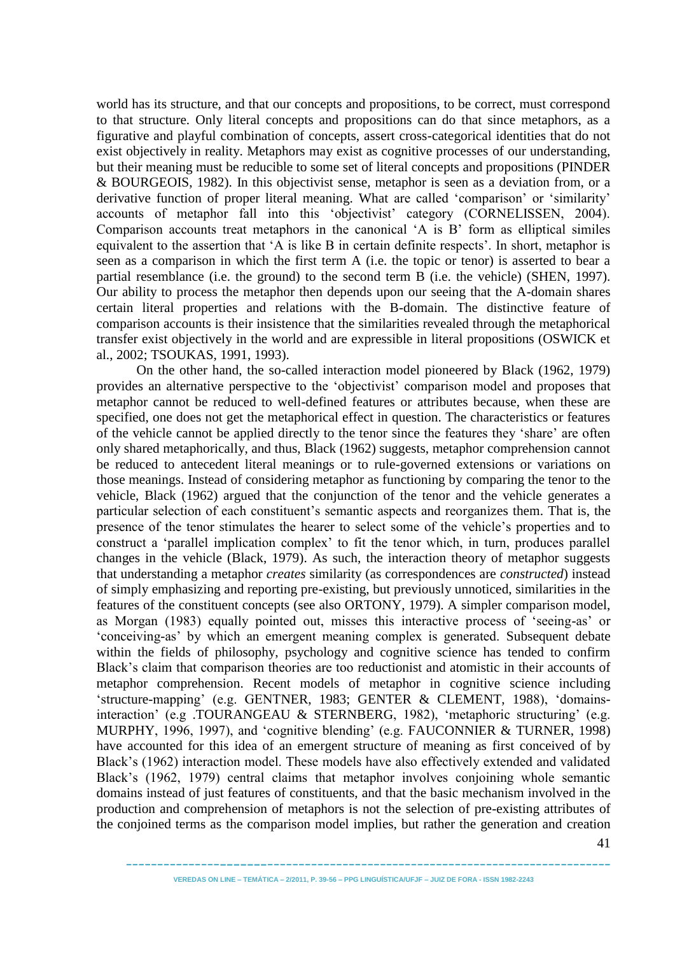world has its structure, and that our concepts and propositions, to be correct, must correspond to that structure. Only literal concepts and propositions can do that since metaphors, as a figurative and playful combination of concepts, assert cross-categorical identities that do not exist objectively in reality. Metaphors may exist as cognitive processes of our understanding, but their meaning must be reducible to some set of literal concepts and propositions (PINDER & BOURGEOIS, 1982). In this objectivist sense, metaphor is seen as a deviation from, or a derivative function of proper literal meaning. What are called 'comparison' or 'similarity' accounts of metaphor fall into this 'objectivist' category (CORNELISSEN, 2004). Comparison accounts treat metaphors in the canonical 'A is B' form as elliptical similes equivalent to the assertion that 'A is like B in certain definite respects'. In short, metaphor is seen as a comparison in which the first term A (i.e. the topic or tenor) is asserted to bear a partial resemblance (i.e. the ground) to the second term B (i.e. the vehicle) (SHEN, 1997). Our ability to process the metaphor then depends upon our seeing that the A-domain shares certain literal properties and relations with the B-domain. The distinctive feature of comparison accounts is their insistence that the similarities revealed through the metaphorical transfer exist objectively in the world and are expressible in literal propositions (OSWICK et al., 2002; TSOUKAS, 1991, 1993).

On the other hand, the so-called interaction model pioneered by Black (1962, 1979) provides an alternative perspective to the 'objectivist' comparison model and proposes that metaphor cannot be reduced to well-defined features or attributes because, when these are specified, one does not get the metaphorical effect in question. The characteristics or features of the vehicle cannot be applied directly to the tenor since the features they 'share' are often only shared metaphorically, and thus, Black (1962) suggests, metaphor comprehension cannot be reduced to antecedent literal meanings or to rule-governed extensions or variations on those meanings. Instead of considering metaphor as functioning by comparing the tenor to the vehicle, Black (1962) argued that the conjunction of the tenor and the vehicle generates a particular selection of each constituent's semantic aspects and reorganizes them. That is, the presence of the tenor stimulates the hearer to select some of the vehicle's properties and to construct a 'parallel implication complex' to fit the tenor which, in turn, produces parallel changes in the vehicle (Black, 1979). As such, the interaction theory of metaphor suggests that understanding a metaphor *creates* similarity (as correspondences are *constructed*) instead of simply emphasizing and reporting pre-existing, but previously unnoticed, similarities in the features of the constituent concepts (see also ORTONY, 1979). A simpler comparison model, as Morgan (1983) equally pointed out, misses this interactive process of ‗seeing-as' or ‗conceiving-as' by which an emergent meaning complex is generated. Subsequent debate within the fields of philosophy, psychology and cognitive science has tended to confirm Black's claim that comparison theories are too reductionist and atomistic in their accounts of metaphor comprehension. Recent models of metaphor in cognitive science including ‗structure-mapping' (e.g. GENTNER, 1983; GENTER & CLEMENT, 1988), ‗domainsinteraction' (e.g. TOURANGEAU & STERNBERG, 1982), 'metaphoric structuring' (e.g. MURPHY, 1996, 1997), and 'cognitive blending' (e.g. FAUCONNIER & TURNER, 1998) have accounted for this idea of an emergent structure of meaning as first conceived of by Black's (1962) interaction model. These models have also effectively extended and validated Black's (1962, 1979) central claims that metaphor involves conjoining whole semantic domains instead of just features of constituents, and that the basic mechanism involved in the production and comprehension of metaphors is not the selection of pre-existing attributes of the conjoined terms as the comparison model implies, but rather the generation and creation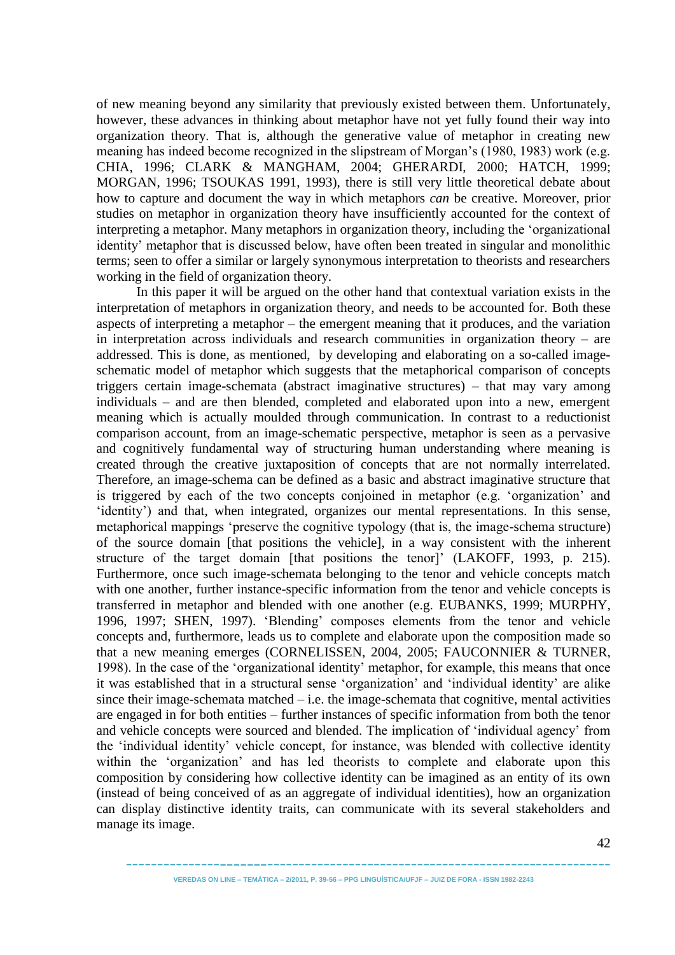of new meaning beyond any similarity that previously existed between them. Unfortunately, however, these advances in thinking about metaphor have not yet fully found their way into organization theory. That is, although the generative value of metaphor in creating new meaning has indeed become recognized in the slipstream of Morgan's (1980, 1983) work (e.g. CHIA, 1996; CLARK & MANGHAM, 2004; GHERARDI, 2000; HATCH, 1999; MORGAN, 1996; TSOUKAS 1991, 1993), there is still very little theoretical debate about how to capture and document the way in which metaphors *can* be creative. Moreover, prior studies on metaphor in organization theory have insufficiently accounted for the context of interpreting a metaphor. Many metaphors in organization theory, including the 'organizational identity' metaphor that is discussed below, have often been treated in singular and monolithic terms; seen to offer a similar or largely synonymous interpretation to theorists and researchers working in the field of organization theory.

In this paper it will be argued on the other hand that contextual variation exists in the interpretation of metaphors in organization theory, and needs to be accounted for. Both these aspects of interpreting a metaphor – the emergent meaning that it produces, and the variation in interpretation across individuals and research communities in organization theory – are addressed. This is done, as mentioned, by developing and elaborating on a so-called imageschematic model of metaphor which suggests that the metaphorical comparison of concepts triggers certain image-schemata (abstract imaginative structures) – that may vary among individuals – and are then blended, completed and elaborated upon into a new, emergent meaning which is actually moulded through communication. In contrast to a reductionist comparison account, from an image-schematic perspective, metaphor is seen as a pervasive and cognitively fundamental way of structuring human understanding where meaning is created through the creative juxtaposition of concepts that are not normally interrelated. Therefore, an image-schema can be defined as a basic and abstract imaginative structure that is triggered by each of the two concepts conjoined in metaphor (e.g. 'organization' and ‗identity') and that, when integrated, organizes our mental representations. In this sense, metaphorical mappings 'preserve the cognitive typology (that is, the image-schema structure) of the source domain [that positions the vehicle], in a way consistent with the inherent structure of the target domain [that positions the tenor]' (LAKOFF, 1993, p. 215). Furthermore, once such image-schemata belonging to the tenor and vehicle concepts match with one another, further instance-specific information from the tenor and vehicle concepts is transferred in metaphor and blended with one another (e.g. EUBANKS, 1999; MURPHY, 1996, 1997; SHEN, 1997). ‗Blending' composes elements from the tenor and vehicle concepts and, furthermore, leads us to complete and elaborate upon the composition made so that a new meaning emerges (CORNELISSEN, 2004, 2005; FAUCONNIER & TURNER, 1998). In the case of the 'organizational identity' metaphor, for example, this means that once it was established that in a structural sense 'organization' and 'individual identity' are alike since their image-schemata matched  $-i.e.$  the image-schemata that cognitive, mental activities are engaged in for both entities – further instances of specific information from both the tenor and vehicle concepts were sourced and blended. The implication of 'individual agency' from the ‗individual identity' vehicle concept, for instance, was blended with collective identity within the 'organization' and has led theorists to complete and elaborate upon this composition by considering how collective identity can be imagined as an entity of its own (instead of being conceived of as an aggregate of individual identities), how an organization can display distinctive identity traits, can communicate with its several stakeholders and manage its image.

42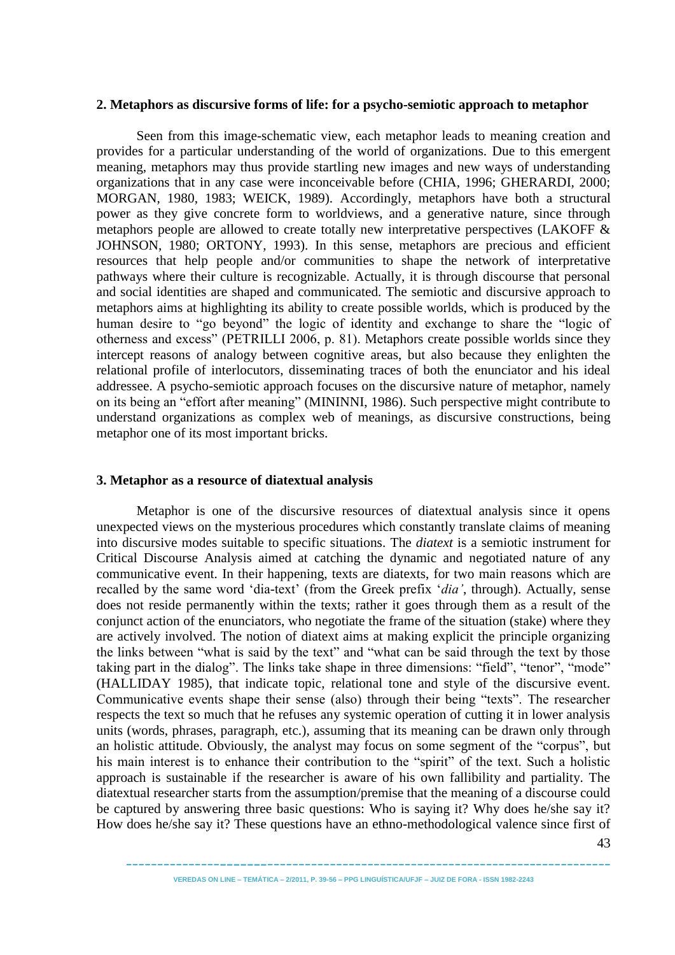#### **2. Metaphors as discursive forms of life: for a psycho-semiotic approach to metaphor**

Seen from this image-schematic view, each metaphor leads to meaning creation and provides for a particular understanding of the world of organizations. Due to this emergent meaning, metaphors may thus provide startling new images and new ways of understanding organizations that in any case were inconceivable before (CHIA, 1996; GHERARDI, 2000; MORGAN, 1980, 1983; WEICK, 1989). Accordingly, metaphors have both a structural power as they give concrete form to worldviews, and a generative nature, since through metaphors people are allowed to create totally new interpretative perspectives (LAKOFF & JOHNSON, 1980; ORTONY, 1993). In this sense, metaphors are precious and efficient resources that help people and/or communities to shape the network of interpretative pathways where their culture is recognizable. Actually, it is through discourse that personal and social identities are shaped and communicated. The semiotic and discursive approach to metaphors aims at highlighting its ability to create possible worlds, which is produced by the human desire to "go beyond" the logic of identity and exchange to share the "logic of otherness and excess‖ (PETRILLI 2006, p. 81). Metaphors create possible worlds since they intercept reasons of analogy between cognitive areas, but also because they enlighten the relational profile of interlocutors, disseminating traces of both the enunciator and his ideal addressee. A psycho-semiotic approach focuses on the discursive nature of metaphor, namely on its being an "effort after meaning" (MININNI, 1986). Such perspective might contribute to understand organizations as complex web of meanings, as discursive constructions, being metaphor one of its most important bricks.

#### **3. Metaphor as a resource of diatextual analysis**

Metaphor is one of the discursive resources of diatextual analysis since it opens unexpected views on the mysterious procedures which constantly translate claims of meaning into discursive modes suitable to specific situations. The *diatext* is a semiotic instrument for Critical Discourse Analysis aimed at catching the dynamic and negotiated nature of any communicative event. In their happening, texts are diatexts, for two main reasons which are recalled by the same word 'dia-text' (from the Greek prefix 'dia', through). Actually, sense does not reside permanently within the texts; rather it goes through them as a result of the conjunct action of the enunciators, who negotiate the frame of the situation (stake) where they are actively involved. The notion of diatext aims at making explicit the principle organizing the links between "what is said by the text" and "what can be said through the text by those taking part in the dialog". The links take shape in three dimensions: "field", "tenor", "mode" (HALLIDAY 1985), that indicate topic, relational tone and style of the discursive event. Communicative events shape their sense (also) through their being "texts". The researcher respects the text so much that he refuses any systemic operation of cutting it in lower analysis units (words, phrases, paragraph, etc.), assuming that its meaning can be drawn only through an holistic attitude. Obviously, the analyst may focus on some segment of the "corpus", but his main interest is to enhance their contribution to the "spirit" of the text. Such a holistic approach is sustainable if the researcher is aware of his own fallibility and partiality. The diatextual researcher starts from the assumption/premise that the meaning of a discourse could be captured by answering three basic questions: Who is saying it? Why does he/she say it? How does he/she say it? These questions have an ethno-methodological valence since first of

43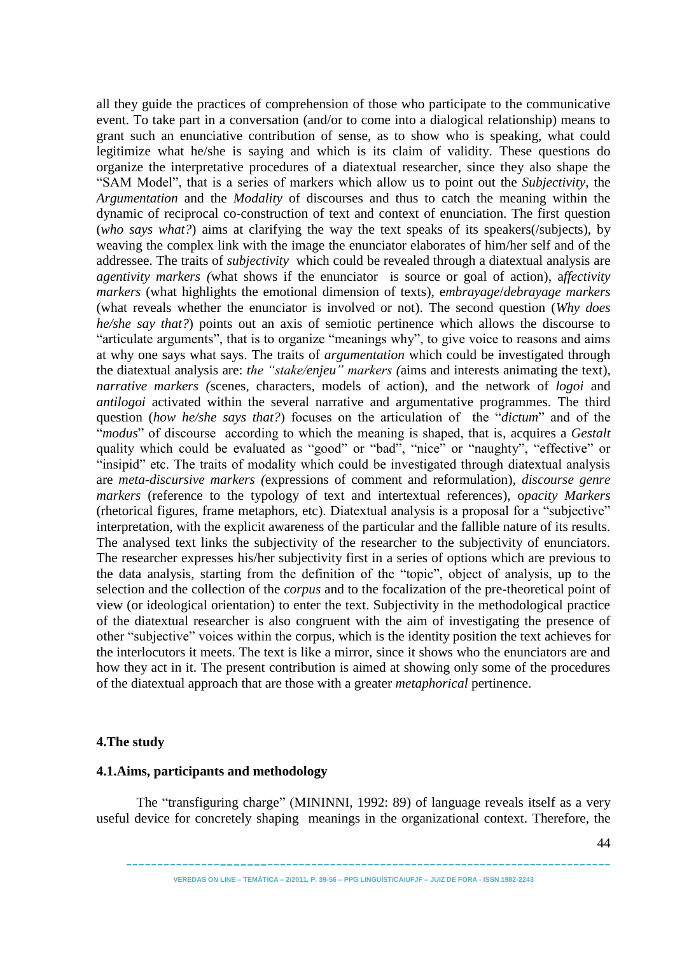all they guide the practices of comprehension of those who participate to the communicative event. To take part in a conversation (and/or to come into a dialogical relationship) means to grant such an enunciative contribution of sense, as to show who is speaking, what could legitimize what he/she is saying and which is its claim of validity. These questions do organize the interpretative procedures of a diatextual researcher, since they also shape the ―SAM Model‖, that is a series of markers which allow us to point out the *Subjectivity*, the *Argumentation* and the *Modality* of discourses and thus to catch the meaning within the dynamic of reciprocal co-construction of text and context of enunciation. The first question (*who says what?*) aims at clarifying the way the text speaks of its speakers(/subjects), by weaving the complex link with the image the enunciator elaborates of him/her self and of the addressee. The traits of *subjectivity* which could be revealed through a diatextual analysis are *agentivity markers (*what shows if the enunciator is source or goal of action), a*ffectivity markers* (what highlights the emotional dimension of texts), e*mbrayage*/*debrayage markers* (what reveals whether the enunciator is involved or not). The second question (*Why does he/she say that?*) points out an axis of semiotic pertinence which allows the discourse to "articulate arguments", that is to organize "meanings why", to give voice to reasons and aims at why one says what says. The traits of *argumentation* which could be investigated through the diatextual analysis are: *the "stake/enjeu" markers (*aims and interests animating the text), *narrative markers (*scenes, characters, models of action), and the network of *logoi* and *antilogoi* activated within the several narrative and argumentative programmes. The third question (*how he/she says that?*) focuses on the articulation of the "*dictum*" and of the "modus" of discourse according to which the meaning is shaped, that is, acquires a *Gestalt* quality which could be evaluated as "good" or "bad", "nice" or "naughty", "effective" or "insipid" etc. The traits of modality which could be investigated through diatextual analysis are *meta-discursive markers (*expressions of comment and reformulation), *discourse genre markers* (reference to the typology of text and intertextual references), o*pacity Markers* (rhetorical figures, frame metaphors, etc). Diatextual analysis is a proposal for a "subjective" interpretation, with the explicit awareness of the particular and the fallible nature of its results. The analysed text links the subjectivity of the researcher to the subjectivity of enunciators. The researcher expresses his/her subjectivity first in a series of options which are previous to the data analysis, starting from the definition of the "topic", object of analysis, up to the selection and the collection of the *corpus* and to the focalization of the pre-theoretical point of view (or ideological orientation) to enter the text. Subjectivity in the methodological practice of the diatextual researcher is also congruent with the aim of investigating the presence of other "subjective" voices within the corpus, which is the identity position the text achieves for the interlocutors it meets. The text is like a mirror, since it shows who the enunciators are and how they act in it. The present contribution is aimed at showing only some of the procedures of the diatextual approach that are those with a greater *metaphorical* pertinence.

## **4.The study**

## **4.1.Aims, participants and methodology**

The "transfiguring charge" (MININNI, 1992: 89) of language reveals itself as a very useful device for concretely shaping meanings in the organizational context. Therefore, the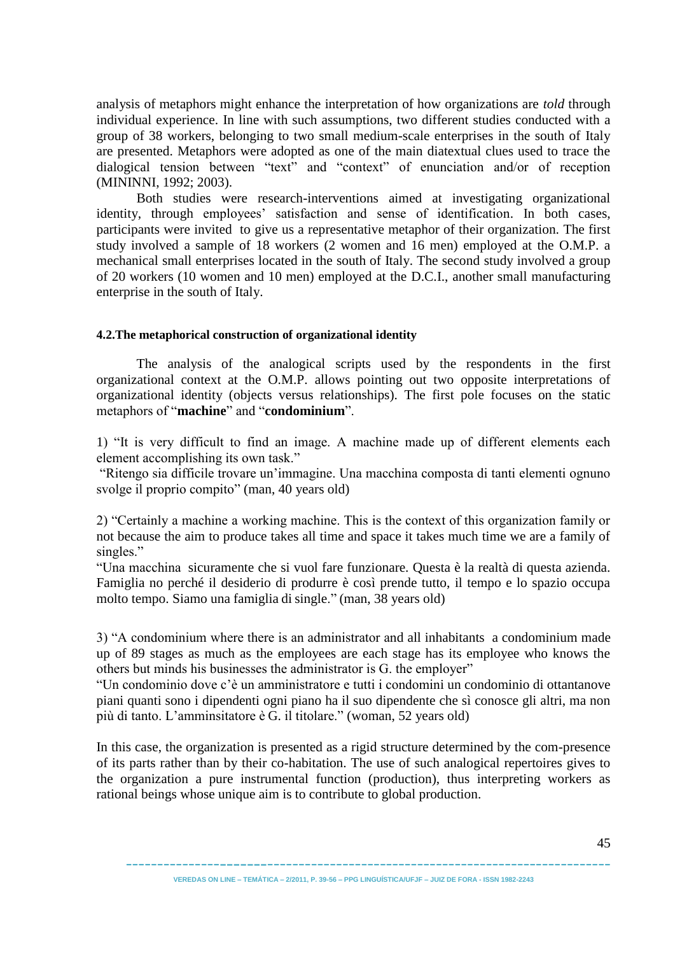analysis of metaphors might enhance the interpretation of how organizations are *told* through individual experience. In line with such assumptions, two different studies conducted with a group of 38 workers, belonging to two small medium-scale enterprises in the south of Italy are presented. Metaphors were adopted as one of the main diatextual clues used to trace the dialogical tension between "text" and "context" of enunciation and/or of reception (MININNI, 1992; 2003).

Both studies were research-interventions aimed at investigating organizational identity, through employees' satisfaction and sense of identification. In both cases, participants were invited to give us a representative metaphor of their organization. The first study involved a sample of 18 workers (2 women and 16 men) employed at the O.M.P. a mechanical small enterprises located in the south of Italy. The second study involved a group of 20 workers (10 women and 10 men) employed at the D.C.I., another small manufacturing enterprise in the south of Italy.

### **4.2.The metaphorical construction of organizational identity**

The analysis of the analogical scripts used by the respondents in the first organizational context at the O.M.P. allows pointing out two opposite interpretations of organizational identity (objects versus relationships). The first pole focuses on the static metaphors of "**machine**" and "**condominium**".

1) "It is very difficult to find an image. A machine made up of different elements each element accomplishing its own task."

"Ritengo sia difficile trovare un'immagine. Una macchina composta di tanti elementi ognuno svolge il proprio compito" (man, 40 years old)

2) "Certainly a machine a working machine. This is the context of this organization family or not because the aim to produce takes all time and space it takes much time we are a family of singles."

―Una macchina sicuramente che si vuol fare funzionare. Questa è la realtà di questa azienda. Famiglia no perché il desiderio di produrre è così prende tutto, il tempo e lo spazio occupa molto tempo. Siamo una famiglia di single." (man, 38 years old)

3) "A condominium where there is an administrator and all inhabitants a condominium made up of 89 stages as much as the employees are each stage has its employee who knows the others but minds his businesses the administrator is G. the employer"

―Un condominio dove c'è un amministratore e tutti i condomini un condominio di ottantanove piani quanti sono i dipendenti ogni piano ha il suo dipendente che sì conosce gli altri, ma non più di tanto. L'amminsitatore è G. il titolare." (woman, 52 years old)

In this case, the organization is presented as a rigid structure determined by the com-presence of its parts rather than by their co-habitation. The use of such analogical repertoires gives to the organization a pure instrumental function (production), thus interpreting workers as rational beings whose unique aim is to contribute to global production.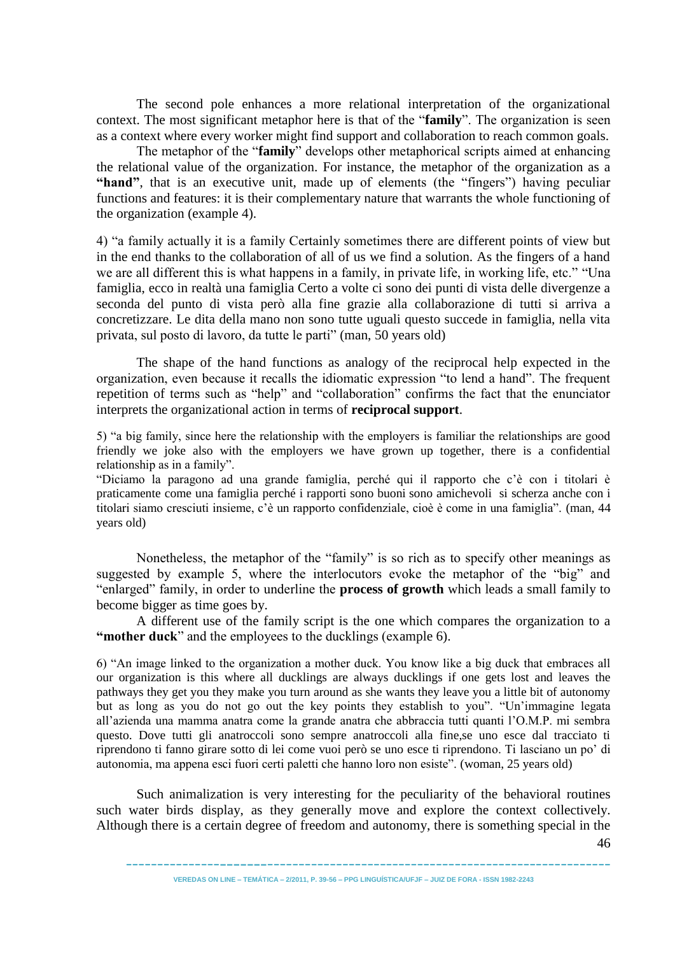The second pole enhances a more relational interpretation of the organizational context. The most significant metaphor here is that of the "**family**". The organization is seen as a context where every worker might find support and collaboration to reach common goals.

The metaphor of the "**family**" develops other metaphorical scripts aimed at enhancing the relational value of the organization. For instance, the metaphor of the organization as a "hand", that is an executive unit, made up of elements (the "fingers") having peculiar functions and features: it is their complementary nature that warrants the whole functioning of the organization (example 4).

4) "a family actually it is a family Certainly sometimes there are different points of view but in the end thanks to the collaboration of all of us we find a solution. As the fingers of a hand we are all different this is what happens in a family, in private life, in working life, etc." "Una famiglia, ecco in realtà una famiglia Certo a volte ci sono dei punti di vista delle divergenze a seconda del punto di vista però alla fine grazie alla collaborazione di tutti si arriva a concretizzare. Le dita della mano non sono tutte uguali questo succede in famiglia, nella vita privata, sul posto di lavoro, da tutte le parti" (man, 50 years old)

The shape of the hand functions as analogy of the reciprocal help expected in the organization, even because it recalls the idiomatic expression "to lend a hand". The frequent repetition of terms such as "help" and "collaboration" confirms the fact that the enunciator interprets the organizational action in terms of **reciprocal support**.

5) ―a big family, since here the relationship with the employers is familiar the relationships are good friendly we joke also with the employers we have grown up together, there is a confidential relationship as in a family".

―Diciamo la paragono ad una grande famiglia, perché qui il rapporto che c'è con i titolari è praticamente come una famiglia perché i rapporti sono buoni sono amichevoli si scherza anche con i titolari siamo cresciuti insieme, c'è un rapporto confidenziale, cioè è come in una famiglia". (man, 44 years old)

Nonetheless, the metaphor of the "family" is so rich as to specify other meanings as suggested by example 5, where the interlocutors evoke the metaphor of the "big" and "enlarged" family, in order to underline the **process of growth** which leads a small family to become bigger as time goes by.

A different use of the family script is the one which compares the organization to a **"mother duck**" and the employees to the ducklings (example 6).

6) ―An image linked to the organization a mother duck. You know like a big duck that embraces all our organization is this where all ducklings are always ducklings if one gets lost and leaves the pathways they get you they make you turn around as she wants they leave you a little bit of autonomy but as long as you do not go out the key points they establish to you". "Un'immagine legata all'azienda una mamma anatra come la grande anatra che abbraccia tutti quanti l'O.M.P. mi sembra questo. Dove tutti gli anatroccoli sono sempre anatroccoli alla fine,se uno esce dal tracciato ti riprendono ti fanno girare sotto di lei come vuoi però se uno esce ti riprendono. Ti lasciano un po' di autonomia, ma appena esci fuori certi paletti che hanno loro non esiste". (woman, 25 years old)

Such animalization is very interesting for the peculiarity of the behavioral routines such water birds display, as they generally move and explore the context collectively. Although there is a certain degree of freedom and autonomy, there is something special in the

-----------------------------------------------------------------------------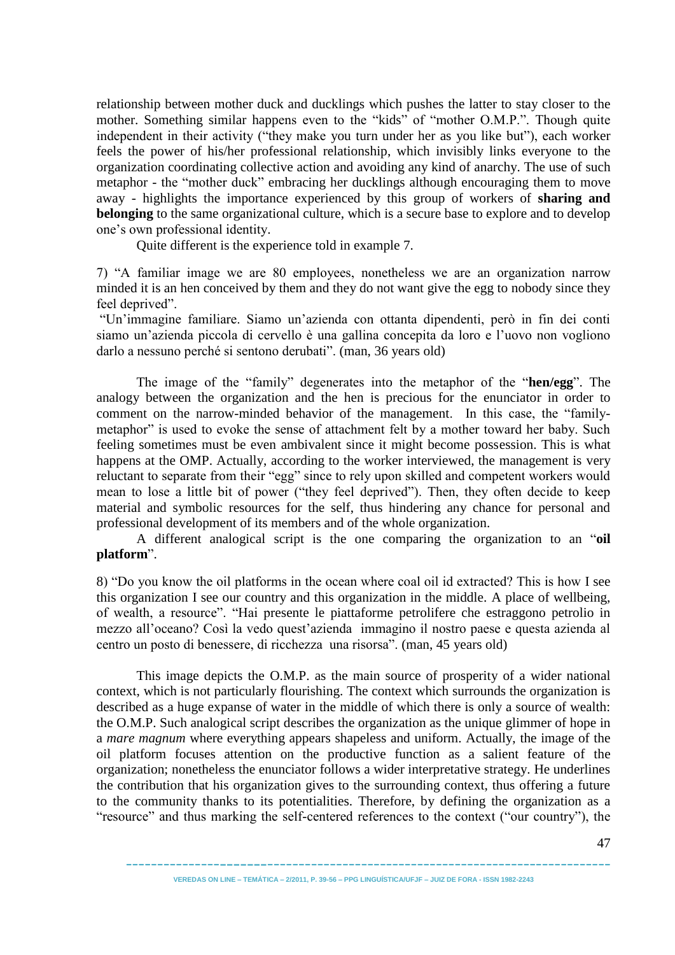relationship between mother duck and ducklings which pushes the latter to stay closer to the mother. Something similar happens even to the "kids" of "mother O.M.P.". Though quite independent in their activity ("they make you turn under her as you like but"), each worker feels the power of his/her professional relationship, which invisibly links everyone to the organization coordinating collective action and avoiding any kind of anarchy. The use of such metaphor - the "mother duck" embracing her ducklings although encouraging them to move away - highlights the importance experienced by this group of workers of **sharing and belonging** to the same organizational culture, which is a secure base to explore and to develop one's own professional identity.

Quite different is the experience told in example 7.

7) ―A familiar image we are 80 employees, nonetheless we are an organization narrow minded it is an hen conceived by them and they do not want give the egg to nobody since they feel deprived".

―Un'immagine familiare. Siamo un'azienda con ottanta dipendenti, però in fin dei conti siamo un'azienda piccola di cervello è una gallina concepita da loro e l'uovo non vogliono darlo a nessuno perché si sentono derubati". (man, 36 years old)

The image of the "family" degenerates into the metaphor of the "**hen/egg**". The analogy between the organization and the hen is precious for the enunciator in order to comment on the narrow-minded behavior of the management. In this case, the "familymetaphor" is used to evoke the sense of attachment felt by a mother toward her baby. Such feeling sometimes must be even ambivalent since it might become possession. This is what happens at the OMP. Actually, according to the worker interviewed, the management is very reluctant to separate from their "egg" since to rely upon skilled and competent workers would mean to lose a little bit of power ("they feel deprived"). Then, they often decide to keep material and symbolic resources for the self, thus hindering any chance for personal and professional development of its members and of the whole organization.

A different analogical script is the one comparing the organization to an "oil platform".

8) "Do you know the oil platforms in the ocean where coal oil id extracted? This is how I see this organization I see our country and this organization in the middle. A place of wellbeing, of wealth, a resource". "Hai presente le piattaforme petrolifere che estraggono petrolio in mezzo all'oceano? Così la vedo quest'azienda immagino il nostro paese e questa azienda al centro un posto di benessere, di ricchezza una risorsa". (man, 45 years old)

This image depicts the O.M.P. as the main source of prosperity of a wider national context, which is not particularly flourishing. The context which surrounds the organization is described as a huge expanse of water in the middle of which there is only a source of wealth: the O.M.P. Such analogical script describes the organization as the unique glimmer of hope in a *mare magnum* where everything appears shapeless and uniform. Actually, the image of the oil platform focuses attention on the productive function as a salient feature of the organization; nonetheless the enunciator follows a wider interpretative strategy. He underlines the contribution that his organization gives to the surrounding context, thus offering a future to the community thanks to its potentialities. Therefore, by defining the organization as a "resource" and thus marking the self-centered references to the context ("our country"), the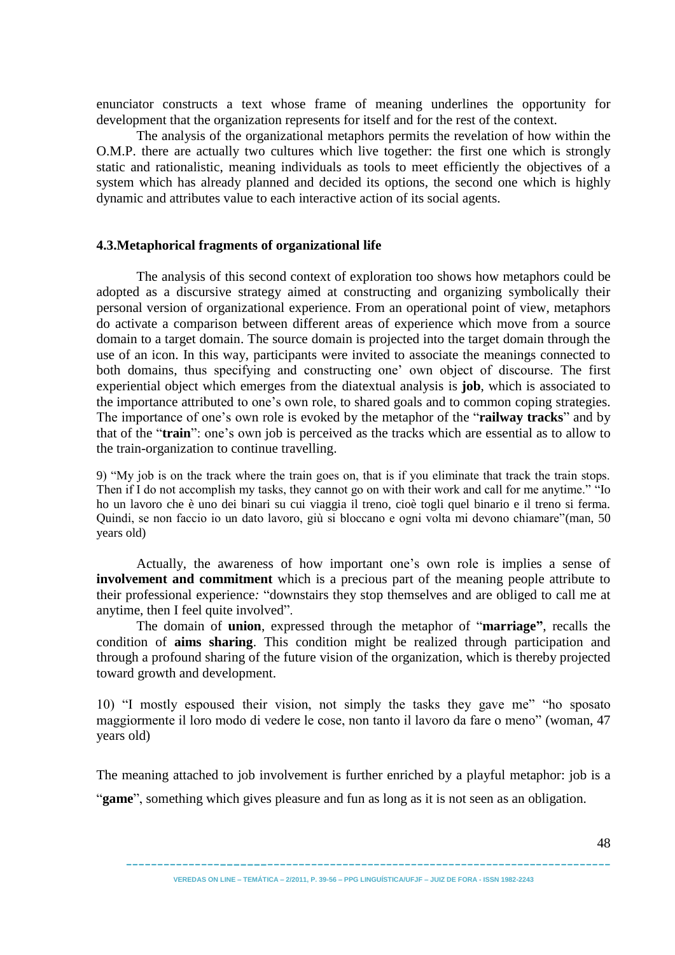enunciator constructs a text whose frame of meaning underlines the opportunity for development that the organization represents for itself and for the rest of the context.

The analysis of the organizational metaphors permits the revelation of how within the O.M.P. there are actually two cultures which live together: the first one which is strongly static and rationalistic, meaning individuals as tools to meet efficiently the objectives of a system which has already planned and decided its options, the second one which is highly dynamic and attributes value to each interactive action of its social agents.

### **4.3.Metaphorical fragments of organizational life**

The analysis of this second context of exploration too shows how metaphors could be adopted as a discursive strategy aimed at constructing and organizing symbolically their personal version of organizational experience. From an operational point of view, metaphors do activate a comparison between different areas of experience which move from a source domain to a target domain. The source domain is projected into the target domain through the use of an icon. In this way, participants were invited to associate the meanings connected to both domains, thus specifying and constructing one' own object of discourse. The first experiential object which emerges from the diatextual analysis is **job**, which is associated to the importance attributed to one's own role, to shared goals and to common coping strategies. The importance of one's own role is evoked by the metaphor of the "**railway tracks**" and by that of the "train": one's own job is perceived as the tracks which are essential as to allow to the train-organization to continue travelling.

9) "My job is on the track where the train goes on, that is if you eliminate that track the train stops. Then if I do not accomplish my tasks, they cannot go on with their work and call for me anytime." "Io ho un lavoro che è uno dei binari su cui viaggia il treno, cioè togli quel binario e il treno si ferma. Quindi, se non faccio io un dato lavoro, giù si bloccano e ogni volta mi devono chiamare"(man, 50 years old)

Actually, the awareness of how important one's own role is implies a sense of **involvement and commitment** which is a precious part of the meaning people attribute to their professional experience: "downstairs they stop themselves and are obliged to call me at anytime, then I feel quite involved".

The domain of **union**, expressed through the metaphor of "**marriage**", recalls the condition of **aims sharing**. This condition might be realized through participation and through a profound sharing of the future vision of the organization, which is thereby projected toward growth and development.

10) "I mostly espoused their vision, not simply the tasks they gave me" "ho sposato" maggiormente il loro modo di vedere le cose, non tanto il lavoro da fare o meno" (woman, 47 years old)

The meaning attached to job involvement is further enriched by a playful metaphor: job is a

"**game**", something which gives pleasure and fun as long as it is not seen as an obligation.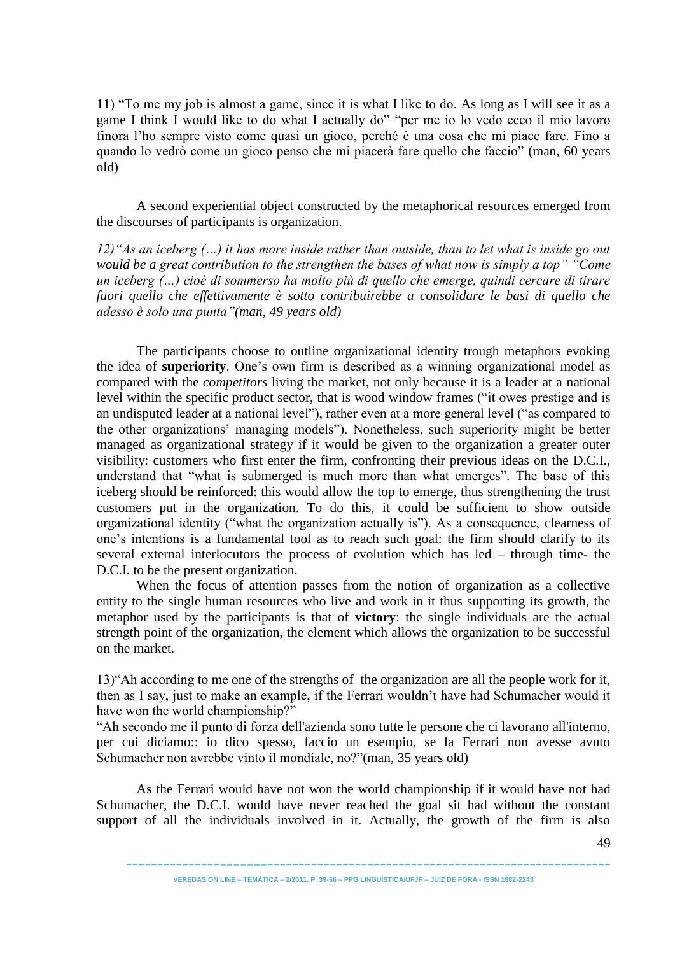11) "To me my job is almost a game, since it is what I like to do. As long as I will see it as a game I think I would like to do what I actually do" "per me io lo vedo ecco il mio lavoro finora l'ho sempre visto come quasi un gioco, perché è una cosa che mi piace fare. Fino a quando lo vedrò come un gioco penso che mi piacerà fare quello che faccio" (man, 60 years old)

A second experiential object constructed by the metaphorical resources emerged from the discourses of participants is organization.

*12)"As an iceberg (…) it has more inside rather than outside, than to let what is inside go out would be a great contribution to the strengthen the bases of what now is simply a top" "Come un iceberg (…) cioè di sommerso ha molto più di quello che emerge, quindi cercare di tirare fuori quello che effettivamente è sotto contribuirebbe a consolidare le basi di quello che adesso è solo una punta"(man, 49 years old)*

The participants choose to outline organizational identity trough metaphors evoking the idea of **superiority**. One's own firm is described as a winning organizational model as compared with the *competitors* living the market, not only because it is a leader at a national level within the specific product sector, that is wood window frames ("it owes prestige and is an undisputed leader at a national level"), rather even at a more general level ("as compared to the other organizations' managing models"). Nonetheless, such superiority might be better managed as organizational strategy if it would be given to the organization a greater outer visibility: customers who first enter the firm, confronting their previous ideas on the D.C.I., understand that "what is submerged is much more than what emerges". The base of this iceberg should be reinforced: this would allow the top to emerge, thus strengthening the trust customers put in the organization. To do this, it could be sufficient to show outside organizational identity ("what the organization actually is"). As a consequence, clearness of one's intentions is a fundamental tool as to reach such goal: the firm should clarify to its several external interlocutors the process of evolution which has led – through time- the D.C.I. to be the present organization.

When the focus of attention passes from the notion of organization as a collective entity to the single human resources who live and work in it thus supporting its growth, the metaphor used by the participants is that of **victory**: the single individuals are the actual strength point of the organization, the element which allows the organization to be successful on the market.

13) "Ah according to me one of the strengths of the organization are all the people work for it, then as I say, just to make an example, if the Ferrari wouldn't have had Schumacher would it have won the world championship?"

―Ah secondo me il punto di forza dell'azienda sono tutte le persone che ci lavorano all'interno, per cui diciamo:: io dico spesso, faccio un esempio, se la Ferrari non avesse avuto Schumacher non avrebbe vinto il mondiale, no?"(man, 35 years old)

As the Ferrari would have not won the world championship if it would have not had Schumacher, the D.C.I. would have never reached the goal sit had without the constant support of all the individuals involved in it. Actually, the growth of the firm is also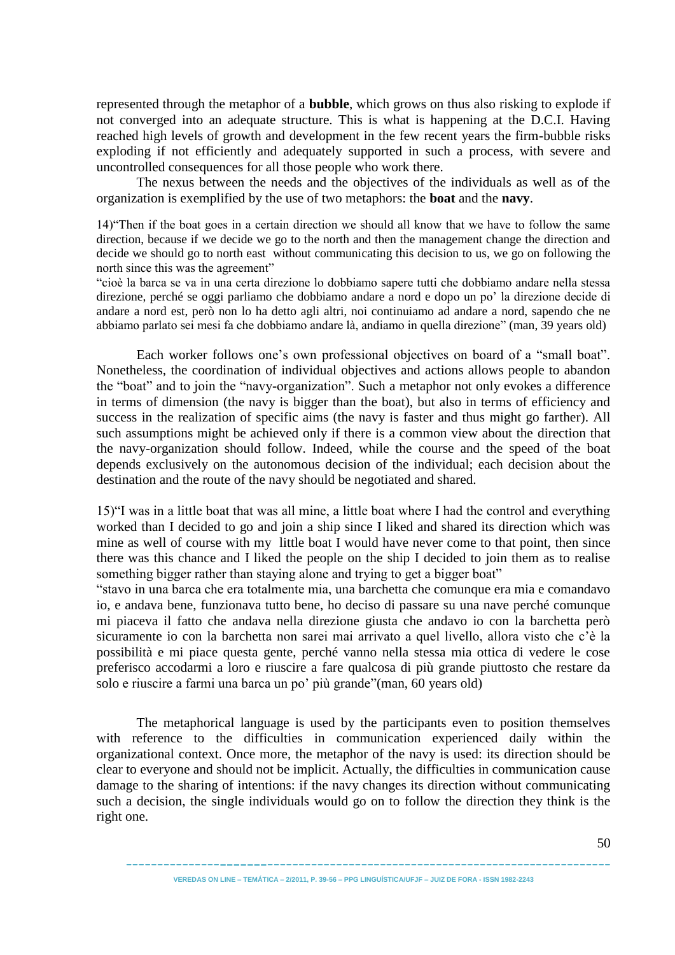represented through the metaphor of a **bubble**, which grows on thus also risking to explode if not converged into an adequate structure. This is what is happening at the D.C.I. Having reached high levels of growth and development in the few recent years the firm-bubble risks exploding if not efficiently and adequately supported in such a process, with severe and uncontrolled consequences for all those people who work there.

The nexus between the needs and the objectives of the individuals as well as of the organization is exemplified by the use of two metaphors: the **boat** and the **navy**.

14) Then if the boat goes in a certain direction we should all know that we have to follow the same direction, because if we decide we go to the north and then the management change the direction and decide we should go to north east without communicating this decision to us, we go on following the north since this was the agreement"

―cioè la barca se va in una certa direzione lo dobbiamo sapere tutti che dobbiamo andare nella stessa direzione, perché se oggi parliamo che dobbiamo andare a nord e dopo un po' la direzione decide di andare a nord est, però non lo ha detto agli altri, noi continuiamo ad andare a nord, sapendo che ne abbiamo parlato sei mesi fa che dobbiamo andare là, andiamo in quella direzione" (man, 39 years old)

Each worker follows one's own professional objectives on board of a "small boat". Nonetheless, the coordination of individual objectives and actions allows people to abandon the "boat" and to join the "navy-organization". Such a metaphor not only evokes a difference in terms of dimension (the navy is bigger than the boat), but also in terms of efficiency and success in the realization of specific aims (the navy is faster and thus might go farther). All such assumptions might be achieved only if there is a common view about the direction that the navy-organization should follow. Indeed, while the course and the speed of the boat depends exclusively on the autonomous decision of the individual; each decision about the destination and the route of the navy should be negotiated and shared.

15)―I was in a little boat that was all mine, a little boat where I had the control and everything worked than I decided to go and join a ship since I liked and shared its direction which was mine as well of course with my little boat I would have never come to that point, then since there was this chance and I liked the people on the ship I decided to join them as to realise something bigger rather than staying alone and trying to get a bigger boat"

―stavo in una barca che era totalmente mia, una barchetta che comunque era mia e comandavo io, e andava bene, funzionava tutto bene, ho deciso di passare su una nave perché comunque mi piaceva il fatto che andava nella direzione giusta che andavo io con la barchetta però sicuramente io con la barchetta non sarei mai arrivato a quel livello, allora visto che c'è la possibilità e mi piace questa gente, perché vanno nella stessa mia ottica di vedere le cose preferisco accodarmi a loro e riuscire a fare qualcosa di più grande piuttosto che restare da solo e riuscire a farmi una barca un po' più grande"(man, 60 years old)

The metaphorical language is used by the participants even to position themselves with reference to the difficulties in communication experienced daily within the organizational context. Once more, the metaphor of the navy is used: its direction should be clear to everyone and should not be implicit. Actually, the difficulties in communication cause damage to the sharing of intentions: if the navy changes its direction without communicating such a decision, the single individuals would go on to follow the direction they think is the right one.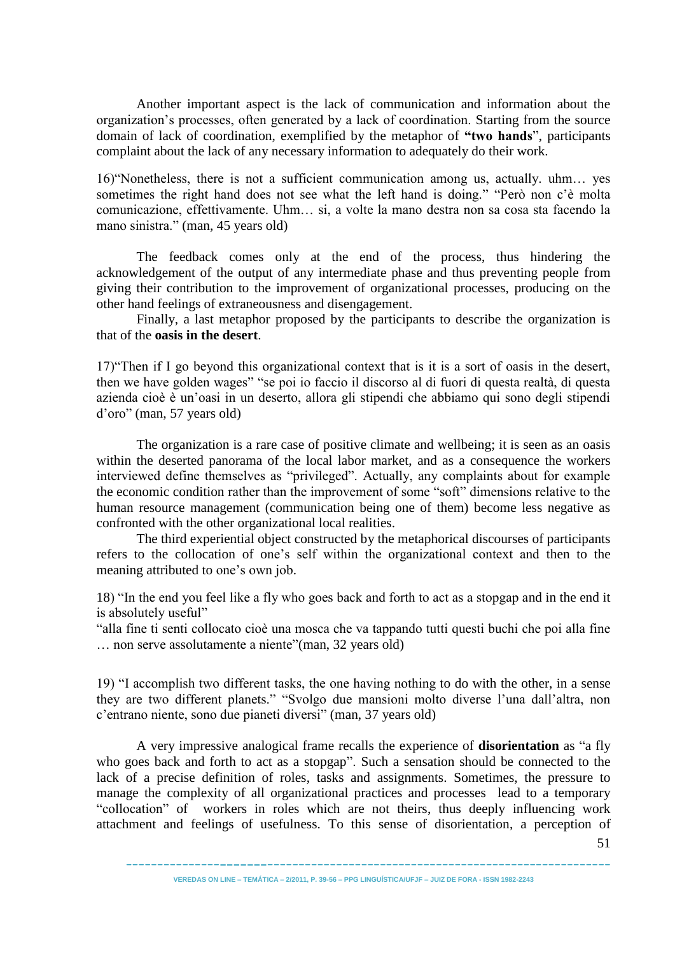Another important aspect is the lack of communication and information about the organization's processes, often generated by a lack of coordination. Starting from the source domain of lack of coordination, exemplified by the metaphor of "two hands", participants complaint about the lack of any necessary information to adequately do their work.

16) Wonetheless, there is not a sufficient communication among us, actually. uhm... yes sometimes the right hand does not see what the left hand is doing." "Però non c'è molta comunicazione, effettivamente. Uhm… si, a volte la mano destra non sa cosa sta facendo la mano sinistra." (man, 45 years old)

The feedback comes only at the end of the process, thus hindering the acknowledgement of the output of any intermediate phase and thus preventing people from giving their contribution to the improvement of organizational processes, producing on the other hand feelings of extraneousness and disengagement.

Finally, a last metaphor proposed by the participants to describe the organization is that of the **oasis in the desert**.

17) Then if I go beyond this organizational context that is it is a sort of oasis in the desert, then we have golden wages" "se poi io faccio il discorso al di fuori di questa realtà, di questa azienda cioè è un'oasi in un deserto, allora gli stipendi che abbiamo qui sono degli stipendi d'oro‖ (man, 57 years old)

The organization is a rare case of positive climate and wellbeing; it is seen as an oasis within the deserted panorama of the local labor market, and as a consequence the workers interviewed define themselves as "privileged". Actually, any complaints about for example the economic condition rather than the improvement of some "soft" dimensions relative to the human resource management (communication being one of them) become less negative as confronted with the other organizational local realities.

The third experiential object constructed by the metaphorical discourses of participants refers to the collocation of one's self within the organizational context and then to the meaning attributed to one's own job.

18) "In the end you feel like a fly who goes back and forth to act as a stopgap and in the end it is absolutely useful"

―alla fine ti senti collocato cioè una mosca che va tappando tutti questi buchi che poi alla fine ... non serve assolutamente a niente"(man, 32 years old)

19) "I accomplish two different tasks, the one having nothing to do with the other, in a sense they are two different planets." "Svolgo due mansioni molto diverse l'una dall'altra, non c'entrano niente, sono due pianeti diversi" (man, 37 years old)

A very impressive analogical frame recalls the experience of **disorientation** as "a fly who goes back and forth to act as a stopgap". Such a sensation should be connected to the lack of a precise definition of roles, tasks and assignments. Sometimes, the pressure to manage the complexity of all organizational practices and processes lead to a temporary "collocation" of workers in roles which are not theirs, thus deeply influencing work attachment and feelings of usefulness. To this sense of disorientation, a perception of

51

----------------------------------------------------------------------------- **VEREDAS ON LINE – TEMÁTICA – 2/2011, P. 39-56 – PPG LINGUÍSTICA/UFJF – JUIZ DE FORA - ISSN 1982-2243**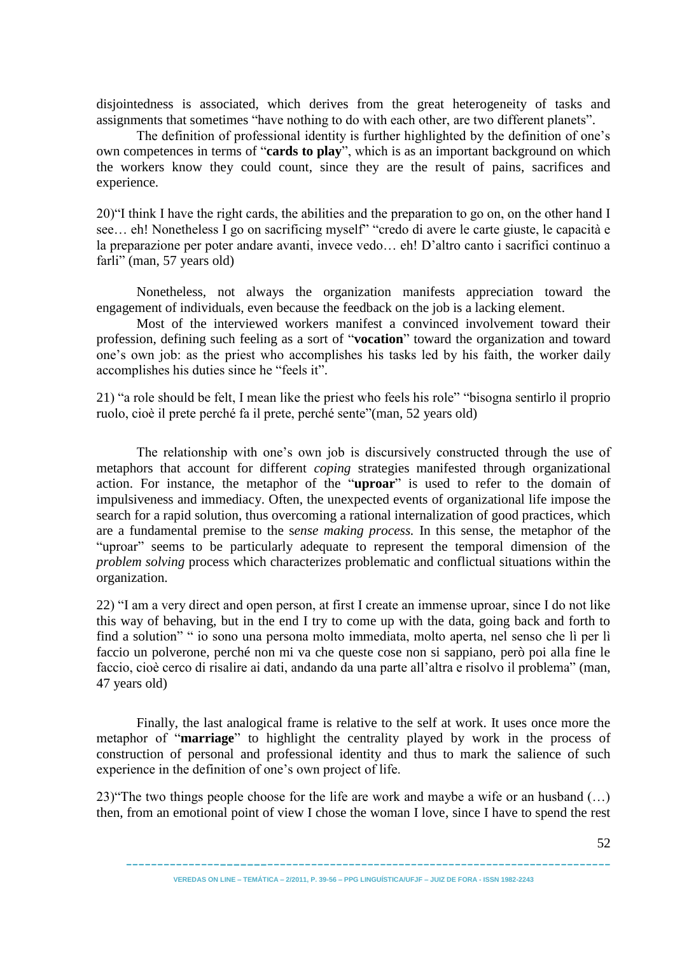disjointedness is associated, which derives from the great heterogeneity of tasks and assignments that sometimes "have nothing to do with each other, are two different planets".

The definition of professional identity is further highlighted by the definition of one's own competences in terms of "cards to play", which is as an important background on which the workers know they could count, since they are the result of pains, sacrifices and experience.

20) T think I have the right cards, the abilities and the preparation to go on, on the other hand I see... eh! Nonetheless I go on sacrificing myself" "credo di avere le carte giuste, le capacità e la preparazione per poter andare avanti, invece vedo... eh! D'altro canto i sacrifici continuo a farli" (man, 57 years old)

Nonetheless, not always the organization manifests appreciation toward the engagement of individuals, even because the feedback on the job is a lacking element.

Most of the interviewed workers manifest a convinced involvement toward their profession, defining such feeling as a sort of "**vocation**" toward the organization and toward one's own job: as the priest who accomplishes his tasks led by his faith, the worker daily accomplishes his duties since he "feels it".

21) "a role should be felt. I mean like the priest who feels his role" "bisogna sentirlo il proprio ruolo, cioè il prete perché fa il prete, perché sente"(man, 52 years old)

The relationship with one's own job is discursively constructed through the use of metaphors that account for different *coping* strategies manifested through organizational action. For instance, the metaphor of the "**uproar**" is used to refer to the domain of impulsiveness and immediacy. Often, the unexpected events of organizational life impose the search for a rapid solution, thus overcoming a rational internalization of good practices, which are a fundamental premise to the s*ense making process.* In this sense, the metaphor of the "uproar" seems to be particularly adequate to represent the temporal dimension of the *problem solving* process which characterizes problematic and conflictual situations within the organization.

22) "I am a very direct and open person, at first I create an immense uproar, since I do not like this way of behaving, but in the end I try to come up with the data, going back and forth to find a solution" " io sono una persona molto immediata, molto aperta, nel senso che lì per lì faccio un polverone, perché non mi va che queste cose non si sappiano, però poi alla fine le faccio, cioè cerco di risalire ai dati, andando da una parte all'altra e risolvo il problema" (man, 47 years old)

Finally, the last analogical frame is relative to the self at work. It uses once more the metaphor of "**marriage**" to highlight the centrality played by work in the process of construction of personal and professional identity and thus to mark the salience of such experience in the definition of one's own project of life.

23) "The two things people choose for the life are work and maybe a wife or an husband  $(...)$ then, from an emotional point of view I chose the woman I love, since I have to spend the rest

52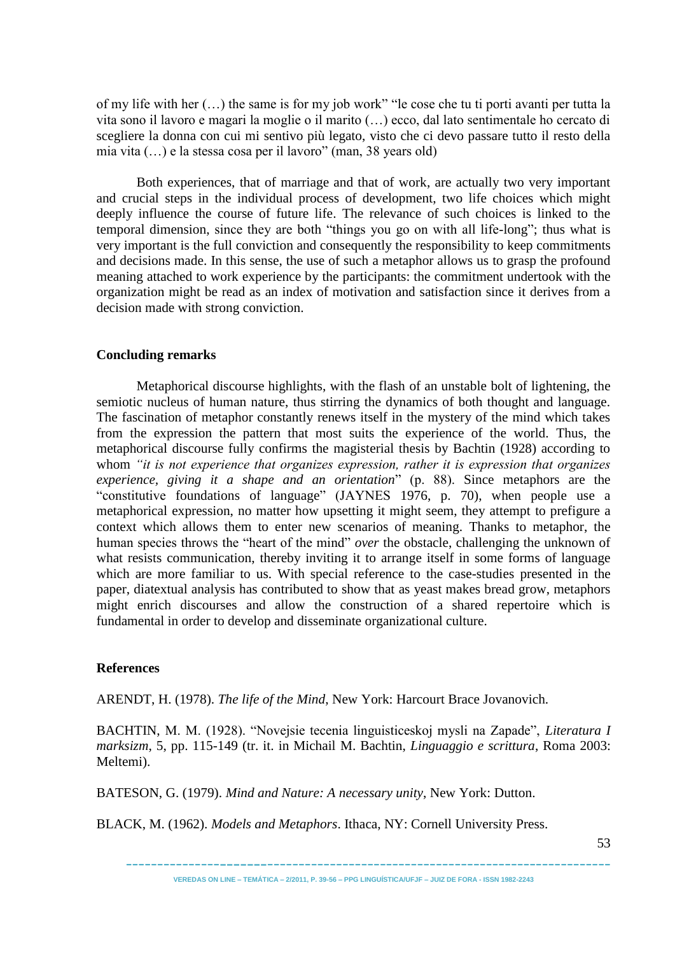of my life with her  $(...)$  the same is for my job work" "le cose che tu ti porti avanti per tutta la vita sono il lavoro e magari la moglie o il marito (…) ecco, dal lato sentimentale ho cercato di scegliere la donna con cui mi sentivo più legato, visto che ci devo passare tutto il resto della mia vita  $(...)$  e la stessa cosa per il lavoro" (man, 38 years old)

Both experiences, that of marriage and that of work, are actually two very important and crucial steps in the individual process of development, two life choices which might deeply influence the course of future life. The relevance of such choices is linked to the temporal dimension, since they are both "things you go on with all life-long"; thus what is very important is the full conviction and consequently the responsibility to keep commitments and decisions made. In this sense, the use of such a metaphor allows us to grasp the profound meaning attached to work experience by the participants: the commitment undertook with the organization might be read as an index of motivation and satisfaction since it derives from a decision made with strong conviction.

## **Concluding remarks**

Metaphorical discourse highlights, with the flash of an unstable bolt of lightening, the semiotic nucleus of human nature, thus stirring the dynamics of both thought and language. The fascination of metaphor constantly renews itself in the mystery of the mind which takes from the expression the pattern that most suits the experience of the world. Thus, the metaphorical discourse fully confirms the magisterial thesis by Bachtin (1928) according to whom *"it is not experience that organizes expression, rather it is expression that organizes experience, giving it a shape and an orientation*‖ (p. 88). Since metaphors are the "constitutive foundations of language" (JAYNES 1976, p. 70), when people use a metaphorical expression, no matter how upsetting it might seem, they attempt to prefigure a context which allows them to enter new scenarios of meaning. Thanks to metaphor, the human species throws the "heart of the mind" *over* the obstacle, challenging the unknown of what resists communication, thereby inviting it to arrange itself in some forms of language which are more familiar to us. With special reference to the case-studies presented in the paper, diatextual analysis has contributed to show that as yeast makes bread grow, metaphors might enrich discourses and allow the construction of a shared repertoire which is fundamental in order to develop and disseminate organizational culture.

### **References**

ARENDT, H. (1978). *The life of the Mind*, New York: Harcourt Brace Jovanovich.

BACHTIN, M. M. (1928). "Novejsie tecenia linguisticeskoj mysli na Zapade", *Literatura I marksizm*, 5, pp. 115-149 (tr. it. in Michail M. Bachtin, *Linguaggio e scrittura*, Roma 2003: Meltemi).

BATESON, G. (1979). *Mind and Nature: A necessary unity*, New York: Dutton.

BLACK, M. (1962). *Models and Metaphors*. Ithaca, NY: Cornell University Press.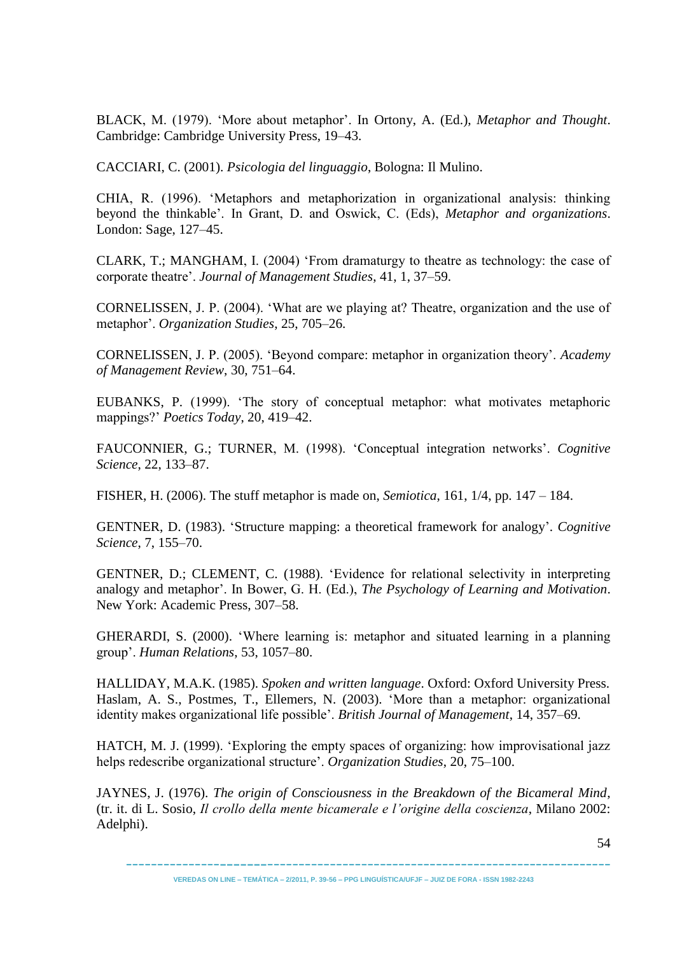BLACK, M. (1979). ‗More about metaphor'. In Ortony, A. (Ed.), *Metaphor and Thought*. Cambridge: Cambridge University Press, 19–43.

CACCIARI, C. (2001). *Psicologia del linguaggio*, Bologna: Il Mulino.

CHIA, R. (1996). 'Metaphors and metaphorization in organizational analysis: thinking beyond the thinkable'. In Grant, D. and Oswick, C. (Eds), *Metaphor and organizations*. London: Sage, 127–45.

CLARK, T.; MANGHAM, I. (2004) 'From dramaturgy to theatre as technology: the case of corporate theatre'. *Journal of Management Studies*, 41, 1, 37–59.

CORNELISSEN, J. P. (2004). ‗What are we playing at? Theatre, organization and the use of metaphor'. *Organization Studies*, 25, 705–26.

CORNELISSEN, J. P. (2005). ‗Beyond compare: metaphor in organization theory'. *Academy of Management Review*, 30, 751–64.

EUBANKS, P. (1999). 'The story of conceptual metaphor: what motivates metaphoric mappings?' *Poetics Today*, 20, 419–42.

FAUCONNIER, G.; TURNER, M. (1998). ‗Conceptual integration networks'. *Cognitive Science*, 22, 133–87.

FISHER, H. (2006). The stuff metaphor is made on, *Semiotica*, 161, 1/4, pp. 147 – 184.

GENTNER, D. (1983). ‗Structure mapping: a theoretical framework for analogy'. *Cognitive Science*, 7, 155–70.

GENTNER, D.; CLEMENT, C. (1988). ‗Evidence for relational selectivity in interpreting analogy and metaphor'. In Bower, G. H. (Ed.), *The Psychology of Learning and Motivation*. New York: Academic Press, 307–58.

GHERARDI, S. (2000). ‗Where learning is: metaphor and situated learning in a planning group'. *Human Relations*, 53, 1057–80.

HALLIDAY, M.A.K. (1985). *Spoken and written language*. Oxford: Oxford University Press. Haslam, A. S., Postmes, T., Ellemers, N. (2003). 'More than a metaphor: organizational identity makes organizational life possible'. *British Journal of Management*, 14, 357–69.

HATCH, M. J. (1999). 'Exploring the empty spaces of organizing: how improvisational jazz helps redescribe organizational structure'. *Organization Studies*, 20, 75–100.

JAYNES, J. (1976). *The origin of Consciousness in the Breakdown of the Bicameral Mind*, (tr. it. di L. Sosio, *Il crollo della mente bicamerale e l'origine della coscienza*, Milano 2002: Adelphi).

----------------------------------------------------------------------------- **VEREDAS ON LINE – TEMÁTICA – 2/2011, P. 39-56 – PPG LINGUÍSTICA/UFJF – JUIZ DE FORA - ISSN 1982-2243**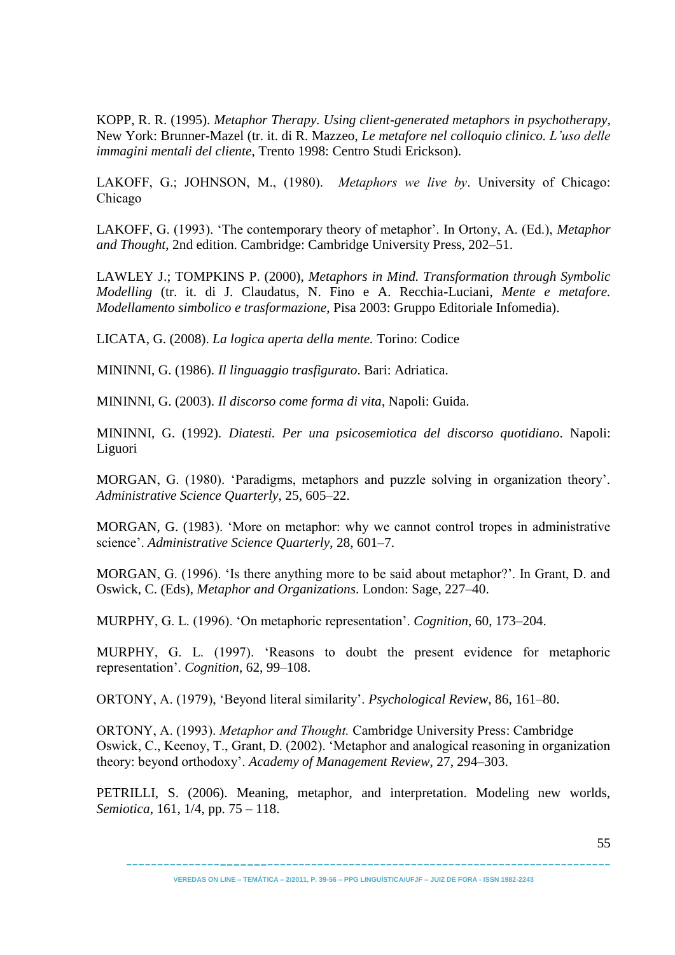KOPP, R. R. (1995). *Metaphor Therapy. Using client-generated metaphors in psychotherapy*, New York: Brunner-Mazel (tr. it. di R. Mazzeo, *Le metafore nel colloquio clinico. L'uso delle immagini mentali del cliente*, Trento 1998: Centro Studi Erickson).

LAKOFF, G.; JOHNSON, M., (1980). *Metaphors we live by*. University of Chicago: Chicago

LAKOFF, G. (1993). ‗The contemporary theory of metaphor'. In Ortony, A. (Ed.), *Metaphor and Thought*, 2nd edition. Cambridge: Cambridge University Press, 202–51.

LAWLEY J.; TOMPKINS P. (2000), *Metaphors in Mind. Transformation through Symbolic Modelling* (tr. it. di J. Claudatus, N. Fino e A. Recchia-Luciani, *Mente e metafore. Modellamento simbolico e trasformazione*, Pisa 2003: Gruppo Editoriale Infomedia).

LICATA, G. (2008). *La logica aperta della mente.* Torino: Codice

MININNI, G. (1986). *Il linguaggio trasfigurato*. Bari: Adriatica.

MININNI, G. (2003). *Il discorso come forma di vita*, Napoli: Guida.

MININNI, G. (1992). *Diatesti. Per una psicosemiotica del discorso quotidiano*. Napoli: Liguori

MORGAN, G. (1980). ‗Paradigms, metaphors and puzzle solving in organization theory'. *Administrative Science Quarterly*, 25, 605–22.

MORGAN, G. (1983). 'More on metaphor: why we cannot control tropes in administrative science'. *Administrative Science Quarterly*, 28, 601–7.

MORGAN, G. (1996). 'Is there anything more to be said about metaphor?'. In Grant, D. and Oswick, C. (Eds), *Metaphor and Organizations*. London: Sage, 227–40.

MURPHY, G. L. (1996). ‗On metaphoric representation'. *Cognition*, 60, 173–204.

MURPHY, G. L. (1997). ‗Reasons to doubt the present evidence for metaphoric representation'. *Cognition*, 62, 99–108.

ORTONY, A. (1979), ‗Beyond literal similarity'. *Psychological Review*, 86, 161–80.

ORTONY, A. (1993). *Metaphor and Thought.* Cambridge University Press: Cambridge Oswick, C., Keenoy, T., Grant, D. (2002). 'Metaphor and analogical reasoning in organization theory: beyond orthodoxy'. *Academy of Management Review*, 27, 294–303.

PETRILLI, S. (2006). Meaning, metaphor, and interpretation. Modeling new worlds, *Semiotica*, 161, 1/4, pp. 75 – 118.